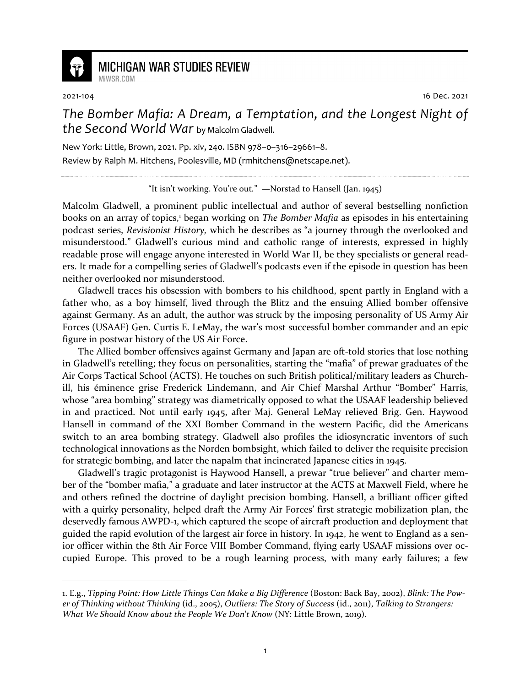

## **MICHIGAN WAR STUDIES REVIEW** MiWSR COM

2021-104 16 Dec. 2021

*The Bomber Mafia: A Dream, a Temptation, and the Longest Night of the Second World War* by Malcolm Gladwell.

New York: Little, Brown, 2021. Pp. xiv, 240. ISBN 978–0–316–29661–8. Review by Ralph M. Hitchens, Poolesville, MD (rmhitchens@netscape.net).

"It isn't working. You're out*.*"—Norstad to Hansell (Jan. 1945)

Malcolm Gladwell, a prominent public intellectual and author of several bestselling nonfiction books on an array of topics,<sup>1</sup> began working on *The Bomber Mafia* as episodes in his entertaining podcast series, *Revisionist History,* which he describes as "a journey through the overlooked and misunderstood." Gladwell's curious mind and catholic range of interests, expressed in highly readable prose will engage anyone interested in World War II, be they specialists or general readers. It made for a compelling series of Gladwell's podcasts even if the episode in question has been neither overlooked nor misunderstood.

Gladwell traces his obsession with bombers to his childhood, spent partly in England with a father who, as a boy himself, lived through the Blitz and the ensuing Allied bomber offensive against Germany. As an adult, the author was struck by the imposing personality of US Army Air Forces (USAAF) Gen. Curtis E. LeMay, the war's most successful bomber commander and an epic figure in postwar history of the US Air Force.

The Allied bomber offensives against Germany and Japan are oft-told stories that lose nothing in Gladwell's retelling; they focus on personalities, starting the "mafia" of prewar graduates of the Air Corps Tactical School (ACTS). He touches on such British political/military leaders as Churchill, his éminence grise Frederick Lindemann, and Air Chief Marshal Arthur "Bomber" Harris, whose "area bombing" strategy was diametrically opposed to what the USAAF leadership believed in and practiced. Not until early 1945, after Maj. General LeMay relieved Brig. Gen. Haywood Hansell in command of the XXI Bomber Command in the western Pacific, did the Americans switch to an area bombing strategy. Gladwell also profiles the idiosyncratic inventors of such technological innovations as the Norden bombsight, which failed to deliver the requisite precision for strategic bombing, and later the napalm that incinerated Japanese cities in 1945.

Gladwell's tragic protagonist is Haywood Hansell, a prewar "true believer" and charter member of the "bomber mafia," a graduate and later instructor at the ACTS at Maxwell Field, where he and others refined the doctrine of daylight precision bombing. Hansell, a brilliant officer gifted with a quirky personality, helped draft the Army Air Forces' first strategic mobilization plan, the deservedly famous AWPD-1, which captured the scope of aircraft production and deployment that guided the rapid evolution of the largest air force in history. In 1942, he went to England as a senior officer within the 8th Air Force VIII Bomber Command, flying early USAAF missions over occupied Europe. This proved to be a rough learning process, with many early failures; a few

<sup>1.</sup> E.g., *Tipping Point: How Little Things Can Make a Big Difference* (Boston: Back Bay, 2002), *Blink: The Power of Thinking without Thinking* (id., 2005), *Outliers: The Story of Success* (id., 2011), *Talking to Strangers: What We Should Know about the People We Don't Know* (NY: Little Brown, 2019).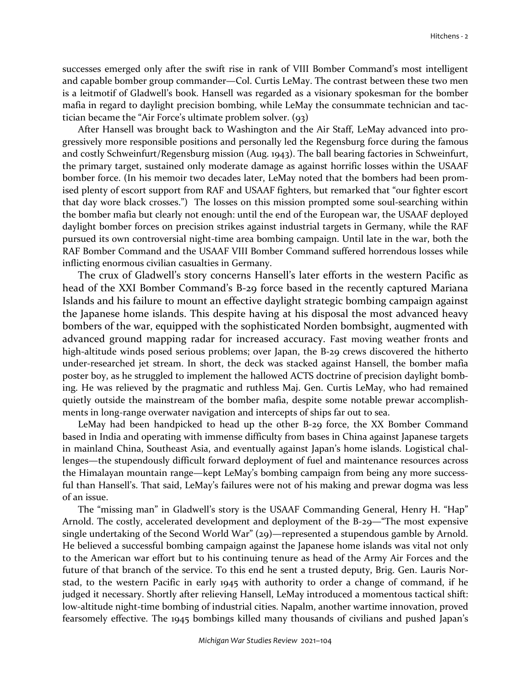successes emerged only after the swift rise in rank of VIII Bomber Command's most intelligent and capable bomber group commander—Col. Curtis LeMay. The contrast between these two men is a leitmotif of Gladwell's book. Hansell was regarded as a visionary spokesman for the bomber mafia in regard to daylight precision bombing, while LeMay the consummate technician and tactician became the "Air Force's ultimate problem solver. (93)

After Hansell was brought back to Washington and the Air Staff, LeMay advanced into progressively more responsible positions and personally led the Regensburg force during the famous and costly Schweinfurt/Regensburg mission (Aug. 1943). The ball bearing factories in Schweinfurt, the primary target, sustained only moderate damage as against horrific losses within the USAAF bomber force. (In his memoir two decades later, LeMay noted that the bombers had been promised plenty of escort support from RAF and USAAF fighters, but remarked that "our fighter escort that day wore black crosses.") The losses on this mission prompted some soul-searching within the bomber mafia but clearly not enough: until the end of the European war, the USAAF deployed daylight bomber forces on precision strikes against industrial targets in Germany, while the RAF pursued its own controversial night-time area bombing campaign. Until late in the war, both the RAF Bomber Command and the USAAF VIII Bomber Command suffered horrendous losses while inflicting enormous civilian casualties in Germany.

The crux of Gladwell's story concerns Hansell's later efforts in the western Pacific as head of the XXI Bomber Command's B-29 force based in the recently captured Mariana Islands and his failure to mount an effective daylight strategic bombing campaign against the Japanese home islands. This despite having at his disposal the most advanced heavy bombers of the war, equipped with the sophisticated Norden bombsight, augmented with advanced ground mapping radar for increased accuracy. Fast moving weather fronts and high-altitude winds posed serious problems; over Japan, the B-29 crews discovered the hitherto under-researched jet stream. In short, the deck was stacked against Hansell, the bomber mafia poster boy, as he struggled to implement the hallowed ACTS doctrine of precision daylight bombing. He was relieved by the pragmatic and ruthless Maj. Gen. Curtis LeMay, who had remained quietly outside the mainstream of the bomber mafia, despite some notable prewar accomplishments in long-range overwater navigation and intercepts of ships far out to sea.

LeMay had been handpicked to head up the other B-29 force, the XX Bomber Command based in India and operating with immense difficulty from bases in China against Japanese targets in mainland China, Southeast Asia, and eventually against Japan's home islands. Logistical challenges—the stupendously difficult forward deployment of fuel and maintenance resources across the Himalayan mountain range—kept LeMay's bombing campaign from being any more successful than Hansell's. That said, LeMay's failures were not of his making and prewar dogma was less of an issue.

The "missing man" in Gladwell's story is the USAAF Commanding General, Henry H. "Hap" Arnold. The costly, accelerated development and deployment of the B-29—"The most expensive single undertaking of the Second World War" (29)—represented a stupendous gamble by Arnold. He believed a successful bombing campaign against the Japanese home islands was vital not only to the American war effort but to his continuing tenure as head of the Army Air Forces and the future of that branch of the service. To this end he sent a trusted deputy, Brig. Gen. Lauris Norstad, to the western Pacific in early 1945 with authority to order a change of command, if he judged it necessary. Shortly after relieving Hansell, LeMay introduced a momentous tactical shift: low-altitude night-time bombing of industrial cities. Napalm, another wartime innovation, proved fearsomely effective. The 1945 bombings killed many thousands of civilians and pushed Japan's